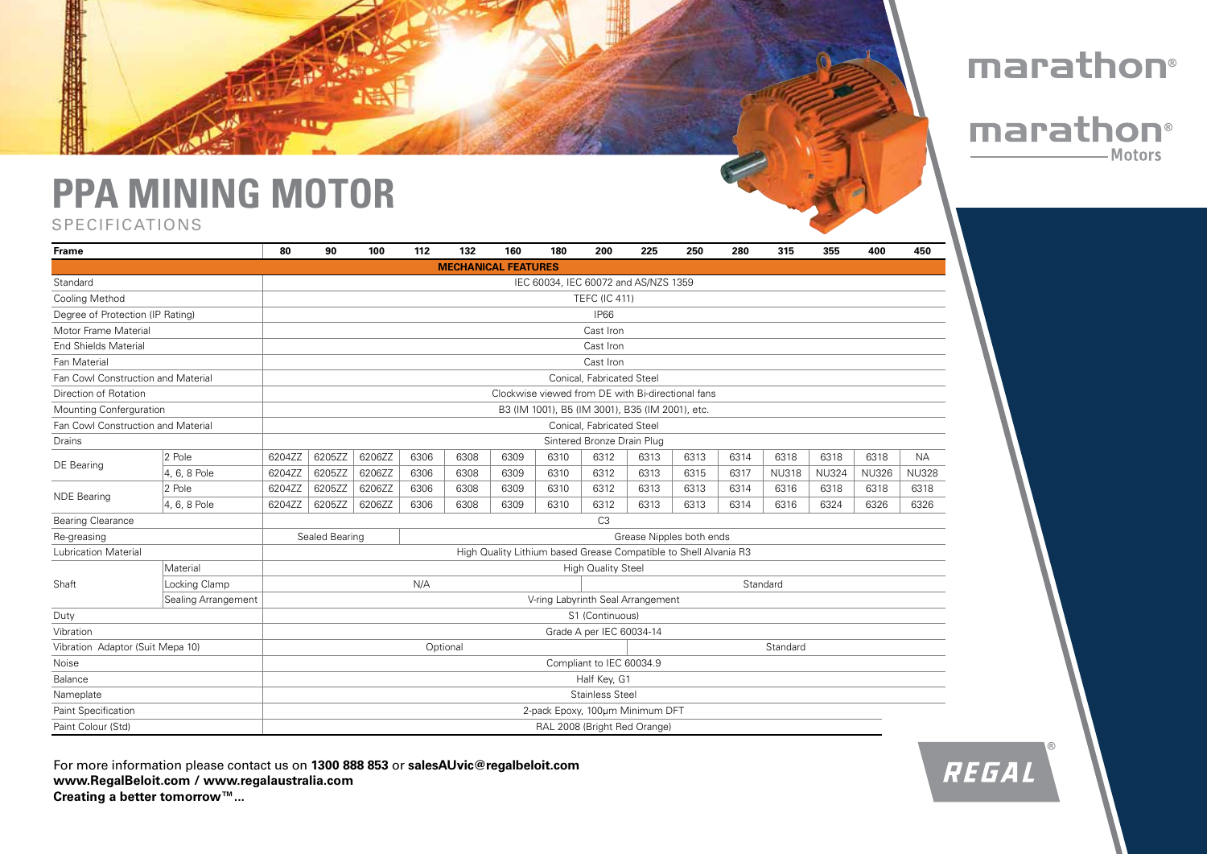## **PPA MINING MOTOR**

## SPECIFICATIONS



| <b>Frame</b>                       |                     | 80                                                               | 90     | 100    | 112  | 132  | 160                        | 180                             | 200                        | 225  | 250  | 280  | 315          | 355          | 400          | 450          |
|------------------------------------|---------------------|------------------------------------------------------------------|--------|--------|------|------|----------------------------|---------------------------------|----------------------------|------|------|------|--------------|--------------|--------------|--------------|
|                                    |                     |                                                                  |        |        |      |      | <b>MECHANICAL FEATURES</b> |                                 |                            |      |      |      |              |              |              |              |
| Standard                           |                     | IEC 60034, IEC 60072 and AS/NZS 1359                             |        |        |      |      |                            |                                 |                            |      |      |      |              |              |              |              |
| Cooling Method                     |                     |                                                                  |        |        |      |      |                            |                                 | <b>TEFC (IC 411)</b>       |      |      |      |              |              |              |              |
| Degree of Protection (IP Rating)   |                     |                                                                  |        |        |      |      |                            |                                 | <b>IP66</b>                |      |      |      |              |              |              |              |
| Motor Frame Material               |                     |                                                                  |        |        |      |      |                            |                                 | Cast Iron                  |      |      |      |              |              |              |              |
| <b>End Shields Material</b>        |                     |                                                                  |        |        |      |      |                            |                                 | Cast Iron                  |      |      |      |              |              |              |              |
| Fan Material                       |                     | Cast Iron                                                        |        |        |      |      |                            |                                 |                            |      |      |      |              |              |              |              |
| Fan Cowl Construction and Material |                     | Conical, Fabricated Steel                                        |        |        |      |      |                            |                                 |                            |      |      |      |              |              |              |              |
| Direction of Rotation              |                     | Clockwise viewed from DE with Bi-directional fans                |        |        |      |      |                            |                                 |                            |      |      |      |              |              |              |              |
| Mounting Conferguration            |                     | B3 (IM 1001), B5 (IM 3001), B35 (IM 2001), etc.                  |        |        |      |      |                            |                                 |                            |      |      |      |              |              |              |              |
| Fan Cowl Construction and Material |                     | Conical, Fabricated Steel                                        |        |        |      |      |                            |                                 |                            |      |      |      |              |              |              |              |
| Drains                             |                     |                                                                  |        |        |      |      |                            |                                 | Sintered Bronze Drain Plug |      |      |      |              |              |              |              |
| DE Bearing                         | 2 Pole              | 6204ZZ                                                           | 6205ZZ | 6206ZZ | 6306 | 6308 | 6309                       | 6310                            | 6312                       | 6313 | 6313 | 6314 | 6318         | 6318         | 6318         | <b>NA</b>    |
|                                    | 4, 6, 8 Pole        | 6204ZZ                                                           | 6205ZZ | 6206ZZ | 6306 | 6308 | 6309                       | 6310                            | 6312                       | 6313 | 6315 | 6317 | <b>NU318</b> | <b>NU324</b> | <b>NU326</b> | <b>NU328</b> |
| <b>NDE Bearing</b>                 | 2 Pole              | 6204ZZ                                                           | 6205ZZ | 6206ZZ | 6306 | 6308 | 6309                       | 6310                            | 6312                       | 6313 | 6313 | 6314 | 6316         | 6318         | 6318         | 6318         |
|                                    | 4, 6, 8 Pole        | 6204ZZ                                                           | 6205ZZ | 6206ZZ | 6306 | 6308 | 6309                       | 6310                            | 6312                       | 6313 | 6313 | 6314 | 6316         | 6324         | 6326         | 6326         |
| <b>Bearing Clearance</b>           |                     | C <sub>3</sub>                                                   |        |        |      |      |                            |                                 |                            |      |      |      |              |              |              |              |
| Re-greasing                        |                     | Sealed Bearing<br>Grease Nipples both ends                       |        |        |      |      |                            |                                 |                            |      |      |      |              |              |              |              |
| Lubrication Material               |                     | High Quality Lithium based Grease Compatible to Shell Alvania R3 |        |        |      |      |                            |                                 |                            |      |      |      |              |              |              |              |
| Shaft                              | Material            | <b>High Quality Steel</b>                                        |        |        |      |      |                            |                                 |                            |      |      |      |              |              |              |              |
|                                    | Locking Clamp       | N/A<br>Standard                                                  |        |        |      |      |                            |                                 |                            |      |      |      |              |              |              |              |
|                                    | Sealing Arrangement | V-ring Labyrinth Seal Arrangement                                |        |        |      |      |                            |                                 |                            |      |      |      |              |              |              |              |
| Duty                               |                     | S1 (Continuous)                                                  |        |        |      |      |                            |                                 |                            |      |      |      |              |              |              |              |
| Vibration                          |                     | Grade A per IEC 60034-14                                         |        |        |      |      |                            |                                 |                            |      |      |      |              |              |              |              |
| Vibration Adaptor (Suit Mepa 10)   |                     | Optional<br>Standard                                             |        |        |      |      |                            |                                 |                            |      |      |      |              |              |              |              |
| Noise                              |                     | Compliant to IEC 60034.9                                         |        |        |      |      |                            |                                 |                            |      |      |      |              |              |              |              |
| Balance                            |                     | Half Key, G1                                                     |        |        |      |      |                            |                                 |                            |      |      |      |              |              |              |              |
| Nameplate                          |                     | <b>Stainless Steel</b>                                           |        |        |      |      |                            |                                 |                            |      |      |      |              |              |              |              |
| <b>Paint Specification</b>         |                     |                                                                  |        |        |      |      |                            | 2-pack Epoxy, 100um Minimum DFT |                            |      |      |      |              |              |              |              |
| Paint Colour (Std)                 |                     |                                                                  |        |        |      |      |                            | RAL 2008 (Bright Red Orange)    |                            |      |      |      |              |              |              |              |

For more information please contact us on **1300 888 853** or **salesAUvic@regalbeloit.com www.RegalBeloit.com / www.regalaustralia.com Creating a better tomorrow™...**